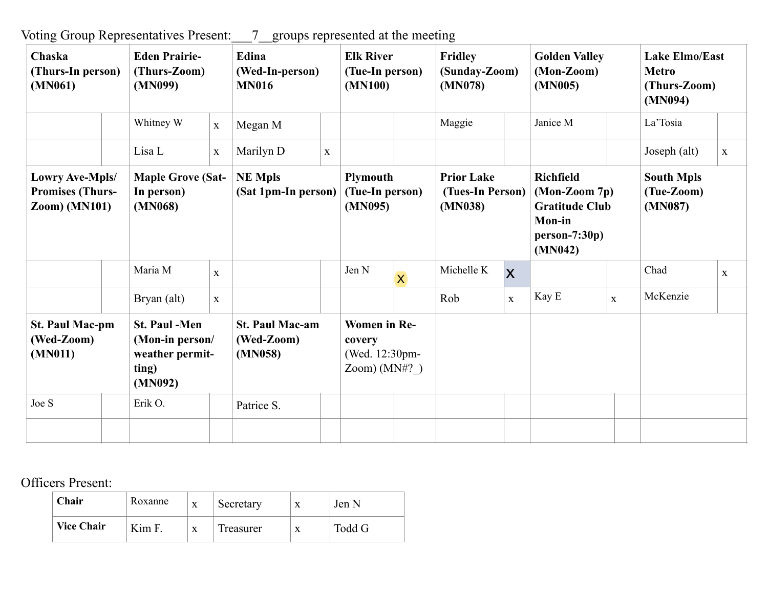Voting Group Representatives Present:\_\_\_7\_\_groups represented at the meeting

| Chaska<br>(Thurs-In person)<br>(MN061)                              |  | <b>Eden Prairie-</b><br>(Thurs-Zoom)<br>(MN099)                                |              | Edina<br>(Wed-In-person)<br><b>MN016</b>        |              | <b>Elk River</b><br>(Tue-In person)<br>(MN100)                      |                         | <b>Fridley</b><br>(Sunday-Zoom)<br>(MN078)       |                         | <b>Golden Valley</b><br>$(Mon-Zoom)$<br>(MN005)                                                             |              | <b>Lake Elmo/East</b><br><b>Metro</b><br>(Thurs-Zoom)<br>(MN094) |              |
|---------------------------------------------------------------------|--|--------------------------------------------------------------------------------|--------------|-------------------------------------------------|--------------|---------------------------------------------------------------------|-------------------------|--------------------------------------------------|-------------------------|-------------------------------------------------------------------------------------------------------------|--------------|------------------------------------------------------------------|--------------|
|                                                                     |  | Whitney W                                                                      | $\mathbf{X}$ | Megan M                                         |              |                                                                     |                         | Maggie                                           |                         | Janice M                                                                                                    |              | La'Tosia                                                         |              |
|                                                                     |  | Lisa L                                                                         | $\mathbf X$  | Marilyn D                                       | $\mathbf{X}$ |                                                                     |                         |                                                  |                         |                                                                                                             |              | Joseph (alt)                                                     | $\mathbf{X}$ |
| Lowry Ave-Mpls/<br><b>Promises (Thurs-</b><br>$\text{Zoom}$ (MN101) |  | <b>Maple Grove (Sat-</b><br>In person)<br>(MN068)                              |              | <b>NE Mpls</b><br>(Sat 1pm-In person)           |              | <b>Plymouth</b><br>(Tue-In person)<br>(MN095)                       |                         | <b>Prior Lake</b><br>(Tues-In Person)<br>(MN038) |                         | <b>Richfield</b><br>$(Mon-Zoom 7p)$<br><b>Gratitude Club</b><br><b>Mon-in</b><br>$person-7:30p)$<br>(MN042) |              | <b>South Mpls</b><br>(Tue-Zoom)<br>(MN087)                       |              |
|                                                                     |  | Maria M                                                                        | $\mathbf{X}$ |                                                 |              | Jen N                                                               | $\overline{\mathsf{X}}$ | Michelle K                                       | $\overline{\mathsf{x}}$ |                                                                                                             |              | Chad                                                             | $\mathbf{X}$ |
|                                                                     |  | Bryan (alt)                                                                    | $\mathbf X$  |                                                 |              |                                                                     |                         | Rob                                              | $\mathbf X$             | Kay E                                                                                                       | $\mathbf{X}$ | McKenzie                                                         |              |
| <b>St. Paul Mac-pm</b><br>(Wed-Zoom)<br>(MN011)                     |  | <b>St. Paul -Men</b><br>(Mon-in person/<br>weather permit-<br>ting)<br>(MN092) |              | <b>St. Paul Mac-am</b><br>(Wed-Zoom)<br>(MN058) |              | <b>Women</b> in Re-<br>covery<br>(Wed. 12:30pm-<br>Zoom) ( $MN#?$ ) |                         |                                                  |                         |                                                                                                             |              |                                                                  |              |
| Joe S                                                               |  | Erik O.                                                                        |              | Patrice S.                                      |              |                                                                     |                         |                                                  |                         |                                                                                                             |              |                                                                  |              |
|                                                                     |  |                                                                                |              |                                                 |              |                                                                     |                         |                                                  |                         |                                                                                                             |              |                                                                  |              |

## Officers Present:

| Chair             | Roxanne | X | Secretary | X | Jen N  |
|-------------------|---------|---|-----------|---|--------|
| <b>Vice Chair</b> | Kim F   | X | Treasurer | X | Todd G |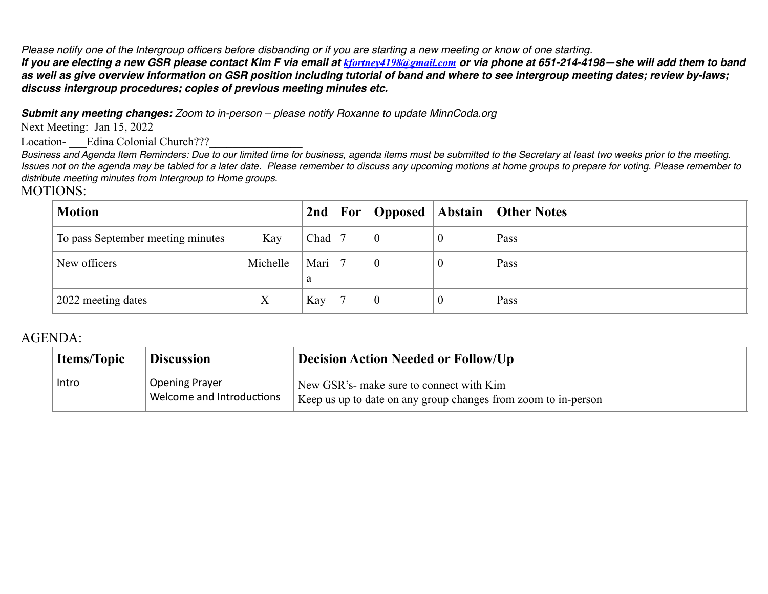*Please notify one of the Intergroup officers before disbanding or if you are starting a new meeting or know of one starting.*

*If you are electing a new GSR please contact Kim F via email at [kfortney4198@gmail.com](mailto:kfortney4198@gmail.com) or via phone at 651-214-4198—she will add them to band as well as give overview information on GSR position including tutorial of band and where to see intergroup meeting dates; review by-laws; discuss intergroup procedures; copies of previous meeting minutes etc.* 

*Submit any meeting changes: Zoom to in-person – please notify Roxanne to update MinnCoda.org*

Next Meeting: Jan 15, 2022

Location-<br>
Edina Colonial Church???

*Business and Agenda Item Reminders: Due to our limited time for business, agenda items must be submitted to the Secretary at least two weeks prior to the meeting. Issues not on the agenda may be tabled for a later date. Please remember to discuss any upcoming motions at home groups to prepare for voting. Please remember to distribute meeting minutes from Intergroup to Home groups.*

## MOTIONS:

| <b>Motion</b>                     |          | 2nd       | $\mathbf{For}$ | Opposed Abstain | <b>Other Notes</b> |
|-----------------------------------|----------|-----------|----------------|-----------------|--------------------|
| To pass September meeting minutes | Kay      | Chad      |                |                 | Pass               |
| New officers                      | Michelle | Mari<br>a |                |                 | Pass               |
| 2022 meeting dates                | X        | Kay       |                | -0              | Pass               |

## AGENDA:

| <b>Items/Topic</b> | <b>Discussion</b> |                                                    | <b>Decision Action Needed or Follow/Up</b>                                                                 |
|--------------------|-------------------|----------------------------------------------------|------------------------------------------------------------------------------------------------------------|
| Intro              |                   | <b>Opening Prayer</b><br>Welcome and Introductions | New GSR's- make sure to connect with Kim<br>Keep us up to date on any group changes from zoom to in-person |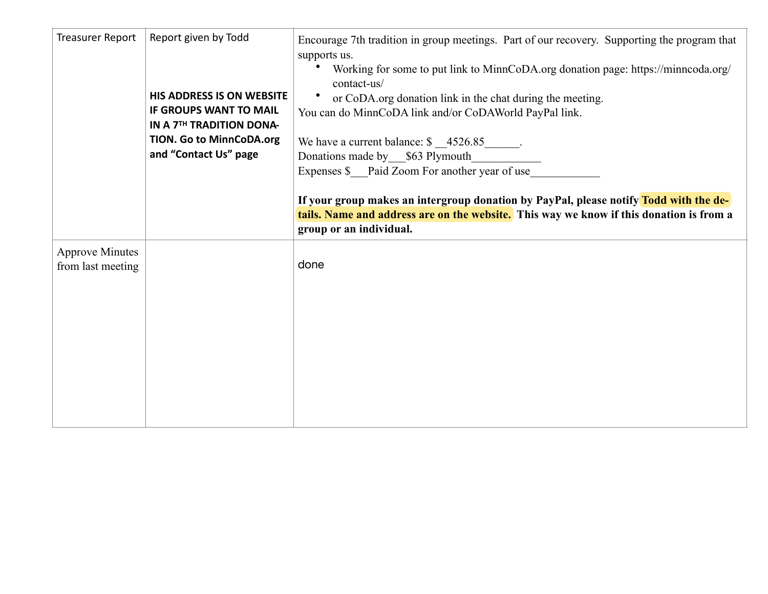| Treasurer Report                            | Report given by Todd<br><b>HIS ADDRESS IS ON WEBSITE</b><br><b>IF GROUPS WANT TO MAIL</b><br>IN A 7TH TRADITION DONA-<br><b>TION. Go to MinnCoDA.org</b><br>and "Contact Us" page | Encourage 7th tradition in group meetings. Part of our recovery. Supporting the program that<br>supports us.<br>Working for some to put link to MinnCoDA.org donation page: https://minncoda.org/<br>contact-us/<br>or CoDA.org donation link in the chat during the meeting.<br>$\bullet$<br>You can do MinnCoDA link and/or CoDAWorld PayPal link.<br>We have a current balance: $\frac{\$ 4526.85$ ______.<br>Donations made by \$63 Plymouth<br>Expenses \$ Paid Zoom For another year of use<br>If your group makes an intergroup donation by PayPal, please notify Todd with the de-<br>tails. Name and address are on the website. This way we know if this donation is from a<br>group or an individual. |
|---------------------------------------------|-----------------------------------------------------------------------------------------------------------------------------------------------------------------------------------|------------------------------------------------------------------------------------------------------------------------------------------------------------------------------------------------------------------------------------------------------------------------------------------------------------------------------------------------------------------------------------------------------------------------------------------------------------------------------------------------------------------------------------------------------------------------------------------------------------------------------------------------------------------------------------------------------------------|
| <b>Approve Minutes</b><br>from last meeting |                                                                                                                                                                                   | done                                                                                                                                                                                                                                                                                                                                                                                                                                                                                                                                                                                                                                                                                                             |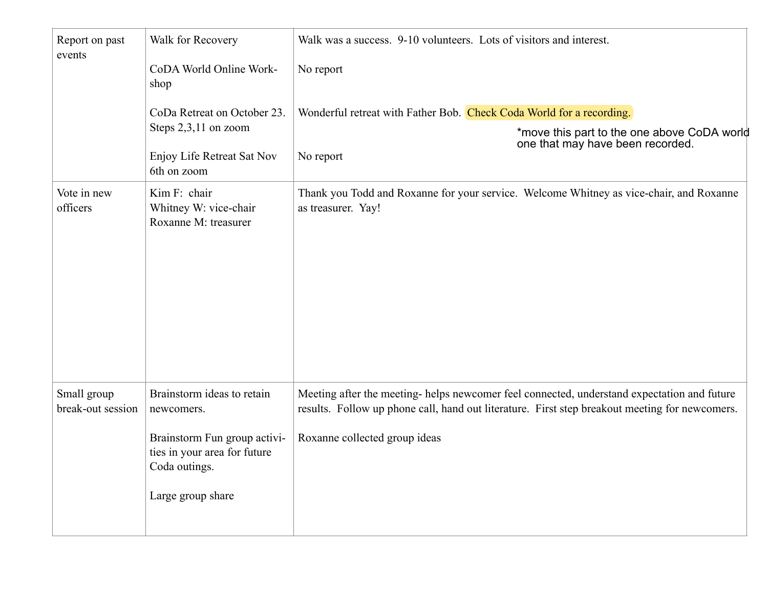| Report on past<br>events         | Walk for Recovery                                                             | Walk was a success. 9-10 volunteers. Lots of visitors and interest.                                                                                                                          |  |  |  |
|----------------------------------|-------------------------------------------------------------------------------|----------------------------------------------------------------------------------------------------------------------------------------------------------------------------------------------|--|--|--|
|                                  | CoDA World Online Work-<br>shop                                               | No report                                                                                                                                                                                    |  |  |  |
|                                  | CoDa Retreat on October 23.                                                   | Wonderful retreat with Father Bob. Check Coda World for a recording.                                                                                                                         |  |  |  |
|                                  | Steps $2,3,11$ on zoom                                                        | *move this part to the one above CoDA world<br>one that may have been recorded.                                                                                                              |  |  |  |
|                                  | Enjoy Life Retreat Sat Nov<br>6th on zoom                                     | No report                                                                                                                                                                                    |  |  |  |
| Vote in new<br>officers          | Kim F: chair<br>Whitney W: vice-chair<br>Roxanne M: treasurer                 | Thank you Todd and Roxanne for your service. Welcome Whitney as vice-chair, and Roxanne<br>as treasurer. Yay!                                                                                |  |  |  |
|                                  |                                                                               |                                                                                                                                                                                              |  |  |  |
|                                  |                                                                               |                                                                                                                                                                                              |  |  |  |
|                                  |                                                                               |                                                                                                                                                                                              |  |  |  |
|                                  |                                                                               |                                                                                                                                                                                              |  |  |  |
|                                  |                                                                               |                                                                                                                                                                                              |  |  |  |
| Small group<br>break-out session | Brainstorm ideas to retain<br>newcomers.                                      | Meeting after the meeting-helps newcomer feel connected, understand expectation and future<br>results. Follow up phone call, hand out literature. First step breakout meeting for newcomers. |  |  |  |
|                                  | Brainstorm Fun group activi-<br>ties in your area for future<br>Coda outings. | Roxanne collected group ideas                                                                                                                                                                |  |  |  |
|                                  | Large group share                                                             |                                                                                                                                                                                              |  |  |  |
|                                  |                                                                               |                                                                                                                                                                                              |  |  |  |